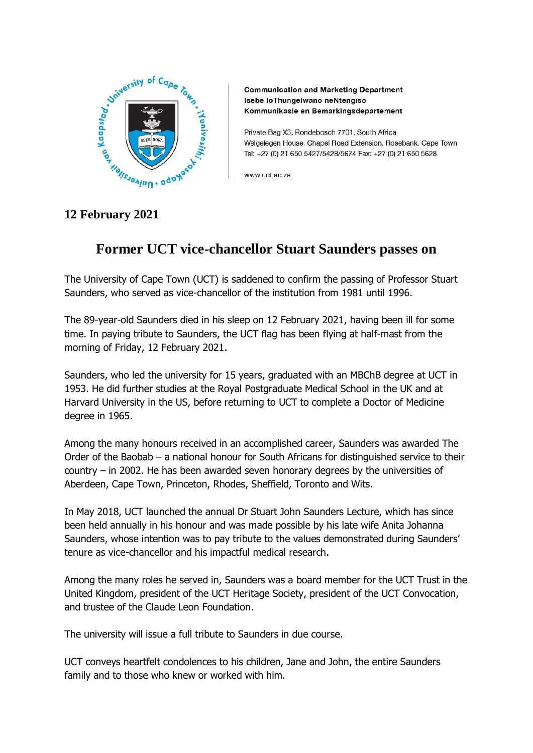

**Communication and Marketing Department** Isebe loThungelwano neNtengiso Kommunikasie en Bemarkingsdepartement

Private Bag X3, Rondebosch 7701, South Africa Welgelegen House, Chapel Road Extension, Rosebank, Cape Town Tel: +27 (0) 21 650 5427/5428/5674 Fax: +27 (0) 21 650 5628

www.uct.ac.za

## **12 February 2021**

## **Former UCT vice-chancellor Stuart Saunders passes on**

The University of Cape Town (UCT) is saddened to confirm the passing of Professor Stuart Saunders, who served as vice-chancellor of the institution from 1981 until 1996.

The 89-year-old Saunders died in his sleep on 12 February 2021, having been ill for some time. In paying tribute to Saunders, the UCT flag has been flying at half-mast from the morning of Friday, 12 February 2021.

Saunders, who led the university for 15 years, graduated with an MBChB degree at UCT in 1953. He did further studies at the Royal Postgraduate Medical School in the UK and at Harvard University in the US, before returning to UCT to complete a Doctor of Medicine degree in 1965.

Among the many honours received in an accomplished career, Saunders was awarded The Order of the Baobab – a national honour for South Africans for distinguished service to their country – in 2002. He has been awarded seven honorary degrees by the universities of Aberdeen, Cape Town, Princeton, Rhodes, Sheffield, Toronto and Wits.

In May 2018, UCT launched the annual Dr Stuart John Saunders Lecture, which has since been held annually in his honour and was made possible by his late wife Anita Johanna Saunders, whose intention was to pay tribute to the values demonstrated during Saunders' tenure as vice-chancellor and his impactful medical research.

Among the many roles he served in, Saunders was a board member for the UCT Trust in the United Kingdom, president of the UCT Heritage Society, president of the UCT Convocation, and trustee of the Claude Leon Foundation.

The university will issue a full tribute to Saunders in due course.

UCT conveys heartfelt condolences to his children, Jane and John, the entire Saunders family and to those who knew or worked with him.